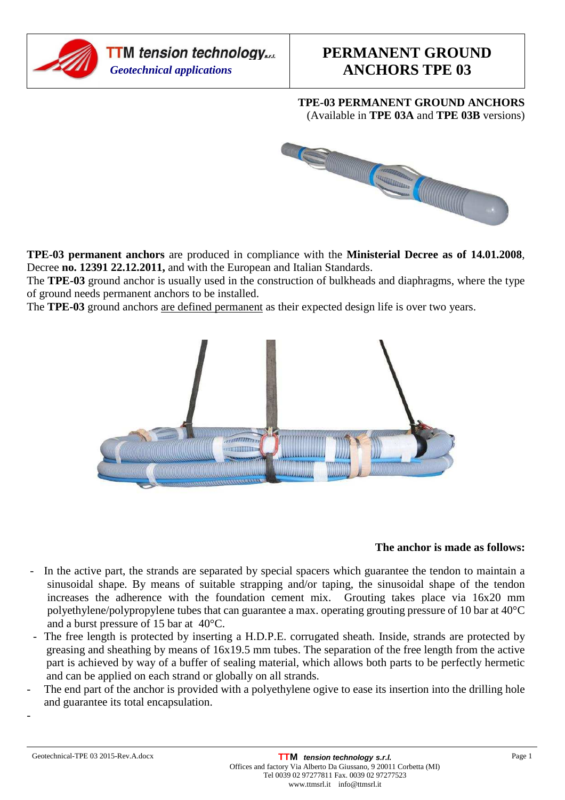

### **TPE-03 PERMANENT GROUND ANCHORS**  (Available in **TPE 03A** and **TPE 03B** versions)



**TPE-03 permanent anchors** are produced in compliance with the **Ministerial Decree as of 14.01.2008**, Decree **no. 12391 22.12.2011,** and with the European and Italian Standards.

The **TPE-03** ground anchor is usually used in the construction of bulkheads and diaphragms, where the type of ground needs permanent anchors to be installed.

The **TPE-03** ground anchors are defined permanent as their expected design life is over two years.



#### **The anchor is made as follows:**

- In the active part, the strands are separated by special spacers which guarantee the tendon to maintain a sinusoidal shape. By means of suitable strapping and/or taping, the sinusoidal shape of the tendon increases the adherence with the foundation cement mix. Grouting takes place via 16x20 mm polyethylene/polypropylene tubes that can guarantee a max. operating grouting pressure of 10 bar at 40°C and a burst pressure of 15 bar at 40°C.
- The free length is protected by inserting a H.D.P.E. corrugated sheath. Inside, strands are protected by greasing and sheathing by means of 16x19.5 mm tubes. The separation of the free length from the active part is achieved by way of a buffer of sealing material, which allows both parts to be perfectly hermetic and can be applied on each strand or globally on all strands.
- The end part of the anchor is provided with a polyethylene ogive to ease its insertion into the drilling hole and guarantee its total encapsulation.

-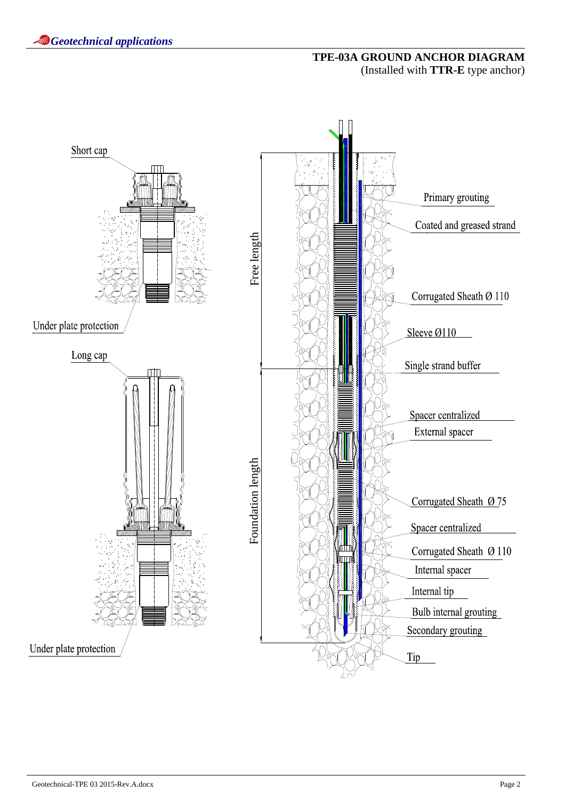# **TPE-03A GROUND ANCHOR DIAGRAM**  (Installed with **TTR-E** type anchor)

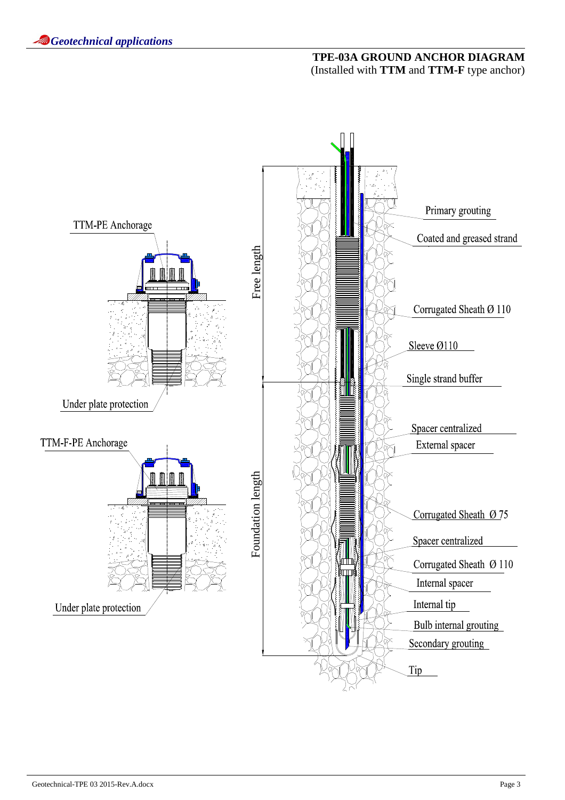# **TPE-03A GROUND ANCHOR DIAGRAM**  (Installed with **TTM** and **TTM-F** type anchor)

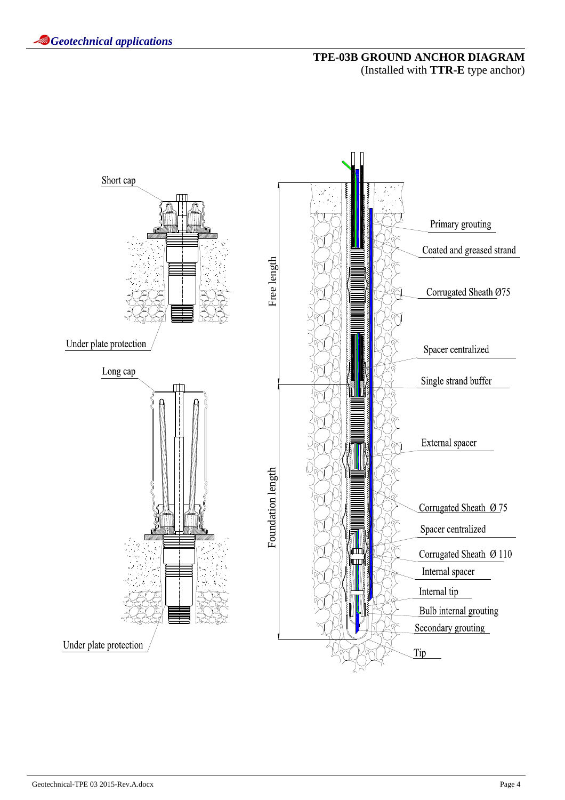# **TPE-03B GROUND ANCHOR DIAGRAM**  (Installed with **TTR-E** type anchor)